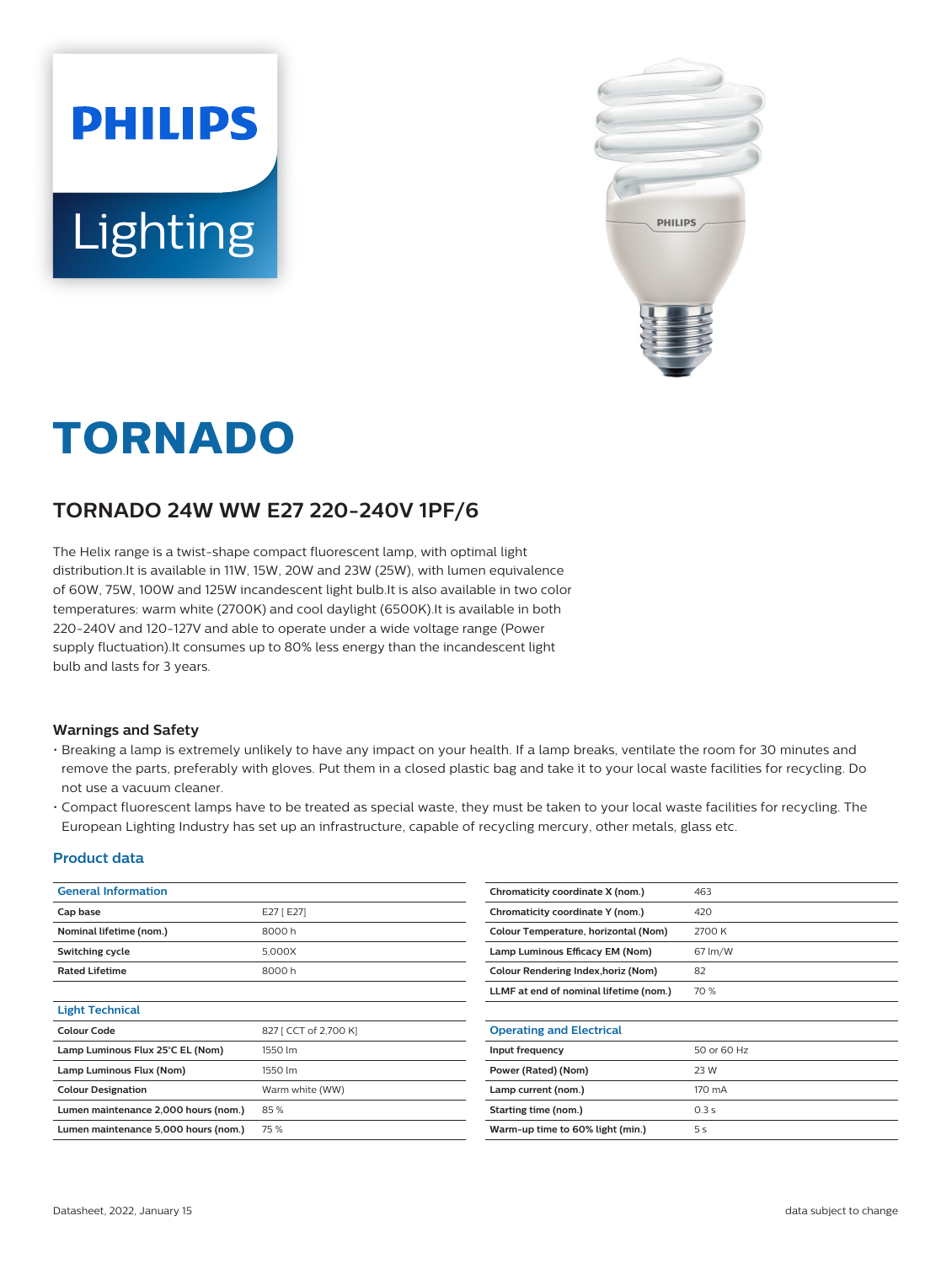



# **TORNADO**

## **TORNADO 24W WW E27 220-240V 1PF/6**

The Helix range is a twist-shape compact fluorescent lamp, with optimal light distribution.It is available in 11W, 15W, 20W and 23W (25W), with lumen equivalence of 60W, 75W, 100W and 125W incandescent light bulb.It is also available in two color temperatures: warm white (2700K) and cool daylight (6500K).It is available in both 220-240V and 120-127V and able to operate under a wide voltage range (Power supply fluctuation).It consumes up to 80% less energy than the incandescent light bulb and lasts for 3 years.

#### **Warnings and Safety**

- Breaking a lamp is extremely unlikely to have any impact on your health. If a lamp breaks, ventilate the room for 30 minutes and remove the parts, preferably with gloves. Put them in a closed plastic bag and take it to your local waste facilities for recycling. Do not use a vacuum cleaner.
- Compact fluorescent lamps have to be treated as special waste, they must be taken to your local waste facilities for recycling. The European Lighting Industry has set up an infrastructure, capable of recycling mercury, other metals, glass etc.

#### **Product data**

| <b>General Information</b>           |                       | Chromaticity coordinate X (nom.)           | 463            |  |
|--------------------------------------|-----------------------|--------------------------------------------|----------------|--|
| Cap base                             | E27 [ E27]            | Chromaticity coordinate Y (nom.)           | 420            |  |
| Nominal lifetime (nom.)              | 8000h                 | Colour Temperature, horizontal (Nom)       | 2700 K         |  |
| Switching cycle                      | 5,000X                | Lamp Luminous Efficacy EM (Nom)            | 67 lm/W        |  |
| <b>Rated Lifetime</b>                | 8000h                 | <b>Colour Rendering Index, horiz (Nom)</b> | 82             |  |
|                                      |                       | LLMF at end of nominal lifetime (nom.)     | 70 %           |  |
| <b>Light Technical</b>               |                       |                                            |                |  |
| <b>Colour Code</b>                   | 827 [ CCT of 2,700 K] | <b>Operating and Electrical</b>            |                |  |
| Lamp Luminous Flux 25°C EL (Nom)     | 1550 lm               | Input frequency                            | 50 or 60 Hz    |  |
| Lamp Luminous Flux (Nom)             | 1550 lm               | Power (Rated) (Nom)                        | 23 W           |  |
| <b>Colour Designation</b>            | Warm white (WW)       | Lamp current (nom.)                        | 170 mA         |  |
| Lumen maintenance 2,000 hours (nom.) | 85%                   | Starting time (nom.)                       | 0.3 s          |  |
| Lumen maintenance 5,000 hours (nom.) | 75%                   | Warm-up time to 60% light (min.)           | 5 <sub>s</sub> |  |
|                                      |                       |                                            |                |  |